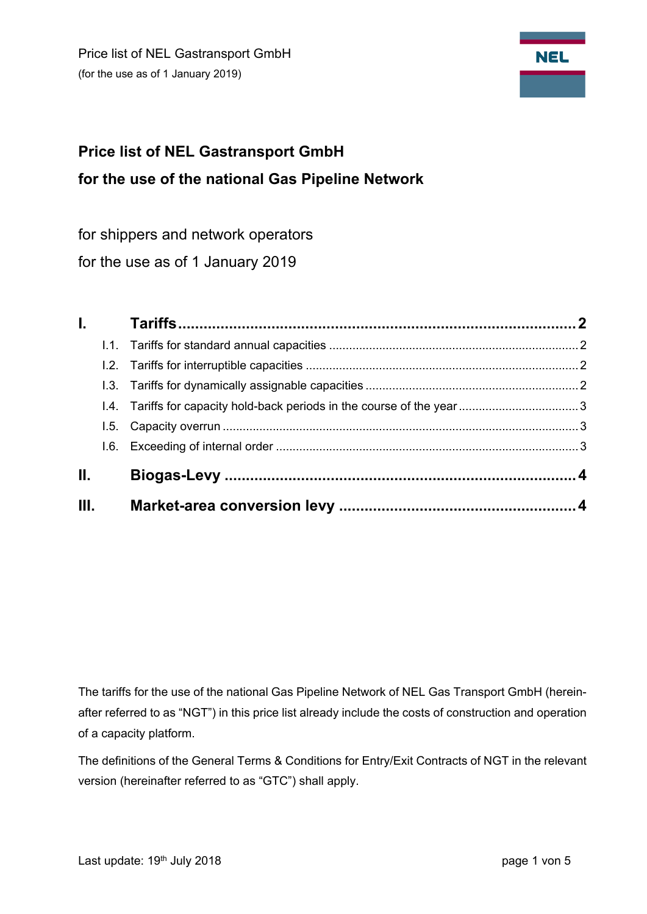

# **Price list of NEL Gastransport GmbH for the use of the national Gas Pipeline Network**

for shippers and network operators

for the use as of 1 January 2019

|       | $\mathbf{L}$ |  |
|-------|--------------|--|
|       |              |  |
|       |              |  |
|       |              |  |
|       |              |  |
|       |              |  |
|       |              |  |
| II. I |              |  |
| Ш.    |              |  |

The tariffs for the use of the national Gas Pipeline Network of NEL Gas Transport GmbH (hereinafter referred to as "NGT") in this price list already include the costs of construction and operation of a capacity platform.

The definitions of the General Terms & Conditions for Entry/Exit Contracts of NGT in the relevant version (hereinafter referred to as "GTC") shall apply.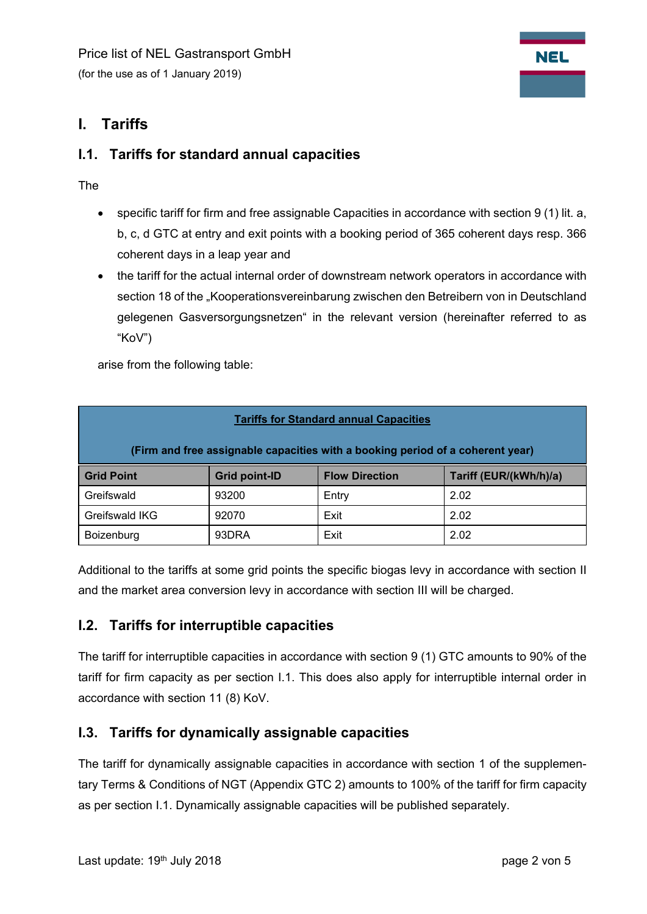

# **I. Tariffs**

### **I.1. Tariffs for standard annual capacities**

The

- specific tariff for firm and free assignable Capacities in accordance with section 9 (1) lit. a, b, c, d GTC at entry and exit points with a booking period of 365 coherent days resp. 366 coherent days in a leap year and
- the tariff for the actual internal order of downstream network operators in accordance with section 18 of the "Kooperationsvereinbarung zwischen den Betreibern von in Deutschland gelegenen Gasversorgungsnetzen" in the relevant version (hereinafter referred to as "KoV")

arise from the following table:

| <b>Tariffs for Standard annual Capacities</b>                                  |                      |                       |                        |  |  |  |  |
|--------------------------------------------------------------------------------|----------------------|-----------------------|------------------------|--|--|--|--|
| (Firm and free assignable capacities with a booking period of a coherent year) |                      |                       |                        |  |  |  |  |
| <b>Grid Point</b>                                                              | <b>Grid point-ID</b> | <b>Flow Direction</b> | Tariff (EUR/(kWh/h)/a) |  |  |  |  |
| Greifswald                                                                     | 93200                | Entry                 | 2.02                   |  |  |  |  |
| Greifswald IKG                                                                 | 92070                | Exit                  | 2.02                   |  |  |  |  |
| Boizenburg                                                                     | 93DRA                | Exit                  | 2.02                   |  |  |  |  |

Additional to the tariffs at some grid points the specific biogas levy in accordance with section II and the market area conversion levy in accordance with section III will be charged.

#### **I.2. Tariffs for interruptible capacities**

The tariff for interruptible capacities in accordance with section 9 (1) GTC amounts to 90% of the tariff for firm capacity as per section I.1. This does also apply for interruptible internal order in accordance with section 11 (8) KoV.

## **I.3. Tariffs for dynamically assignable capacities**

The tariff for dynamically assignable capacities in accordance with section 1 of the supplementary Terms & Conditions of NGT (Appendix GTC 2) amounts to 100% of the tariff for firm capacity as per section I.1. Dynamically assignable capacities will be published separately.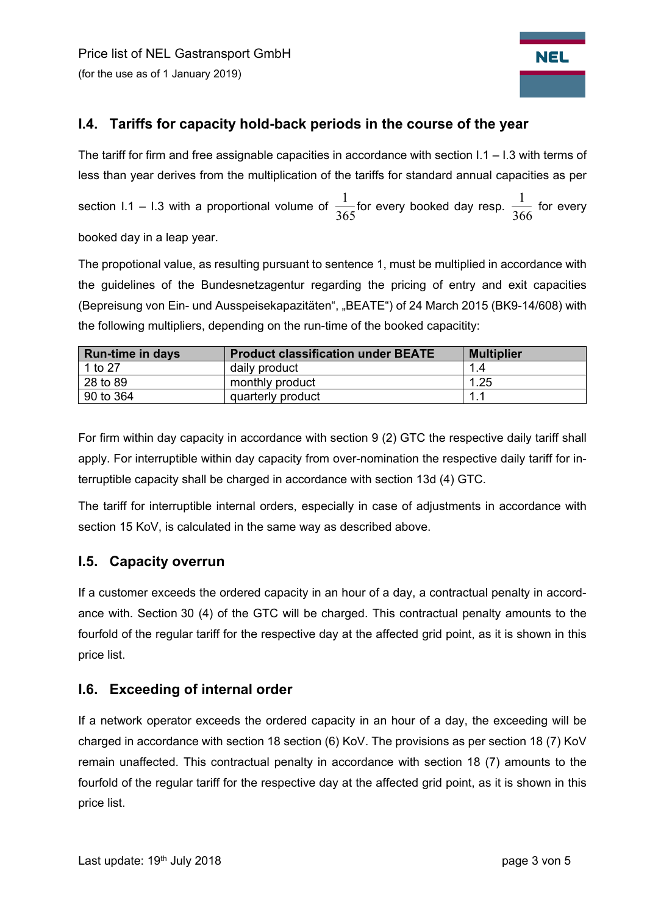

## **I.4. Tariffs for capacity hold-back periods in the course of the year**

The tariff for firm and free assignable capacities in accordance with section  $1.1 - 1.3$  with terms of less than year derives from the multiplication of the tariffs for standard annual capacities as per section I.1 – I.3 with a proportional volume of  $\frac{1}{365}$  for every booked day resp.  $\frac{1}{366}$  for every booked day in a leap year.

The propotional value, as resulting pursuant to sentence 1, must be multiplied in accordance with the guidelines of the Bundesnetzagentur regarding the pricing of entry and exit capacities (Bepreisung von Ein- und Ausspeisekapazitäten", "BEATE") of 24 March 2015 (BK9-14/608) with the following multipliers, depending on the run-time of the booked capacitity:

| <b>Run-time in days</b> | <b>Product classification under BEATE</b> | <b>Multiplier</b> |
|-------------------------|-------------------------------------------|-------------------|
| 1 to 27                 | daily product                             | 1.4               |
| 28 to 89                | monthly product                           | 1.25              |
| 90 to 364               | quarterly product                         | $\mathbf{1}$ .    |

For firm within day capacity in accordance with section 9 (2) GTC the respective daily tariff shall apply. For interruptible within day capacity from over-nomination the respective daily tariff for interruptible capacity shall be charged in accordance with section 13d (4) GTC.

The tariff for interruptible internal orders, especially in case of adjustments in accordance with section 15 KoV, is calculated in the same way as described above.

#### **I.5. Capacity overrun**

If a customer exceeds the ordered capacity in an hour of a day, a contractual penalty in accordance with. Section 30 (4) of the GTC will be charged. This contractual penalty amounts to the fourfold of the regular tariff for the respective day at the affected grid point, as it is shown in this price list.

#### **I.6. Exceeding of internal order**

If a network operator exceeds the ordered capacity in an hour of a day, the exceeding will be charged in accordance with section 18 section (6) KoV. The provisions as per section 18 (7) KoV remain unaffected. This contractual penalty in accordance with section 18 (7) amounts to the fourfold of the regular tariff for the respective day at the affected grid point, as it is shown in this price list.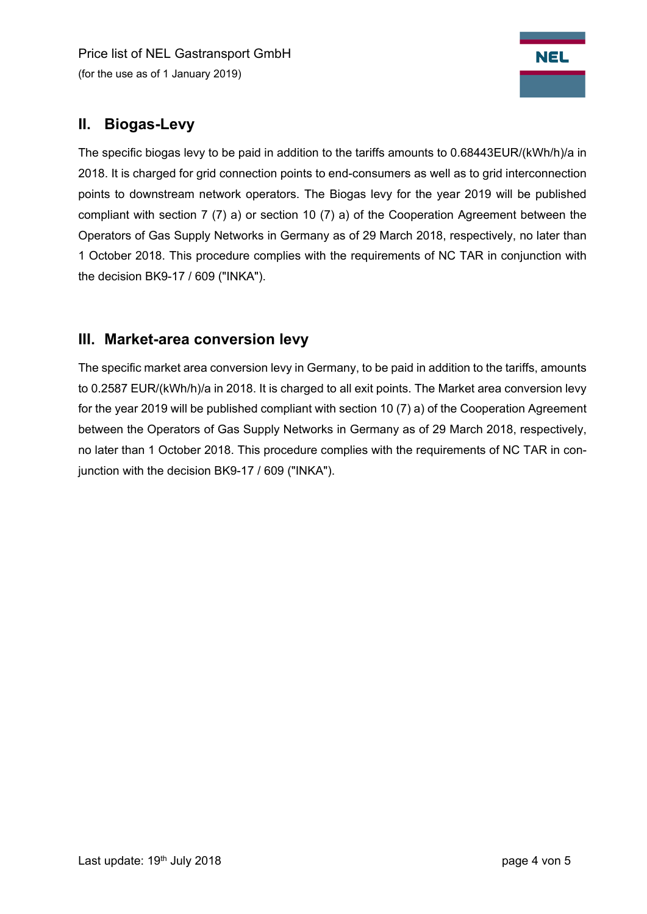Price list of NEL Gastransport GmbH (for the use as of 1 January 2019)



# **II. Biogas-Levy**

The specific biogas levy to be paid in addition to the tariffs amounts to 0.68443EUR/(kWh/h)/a in 2018. It is charged for grid connection points to end-consumers as well as to grid interconnection points to downstream network operators. The Biogas levy for the year 2019 will be published compliant with section 7 (7) a) or section 10 (7) a) of the Cooperation Agreement between the Operators of Gas Supply Networks in Germany as of 29 March 2018, respectively, no later than 1 October 2018. This procedure complies with the requirements of NC TAR in conjunction with the decision BK9-17 / 609 ("INKA").

# **III. Market-area conversion levy**

The specific market area conversion levy in Germany, to be paid in addition to the tariffs, amounts to 0.2587 EUR/(kWh/h)/a in 2018. It is charged to all exit points. The Market area conversion levy for the year 2019 will be published compliant with section 10 (7) a) of the Cooperation Agreement between the Operators of Gas Supply Networks in Germany as of 29 March 2018, respectively, no later than 1 October 2018. This procedure complies with the requirements of NC TAR in conjunction with the decision BK9-17 / 609 ("INKA").